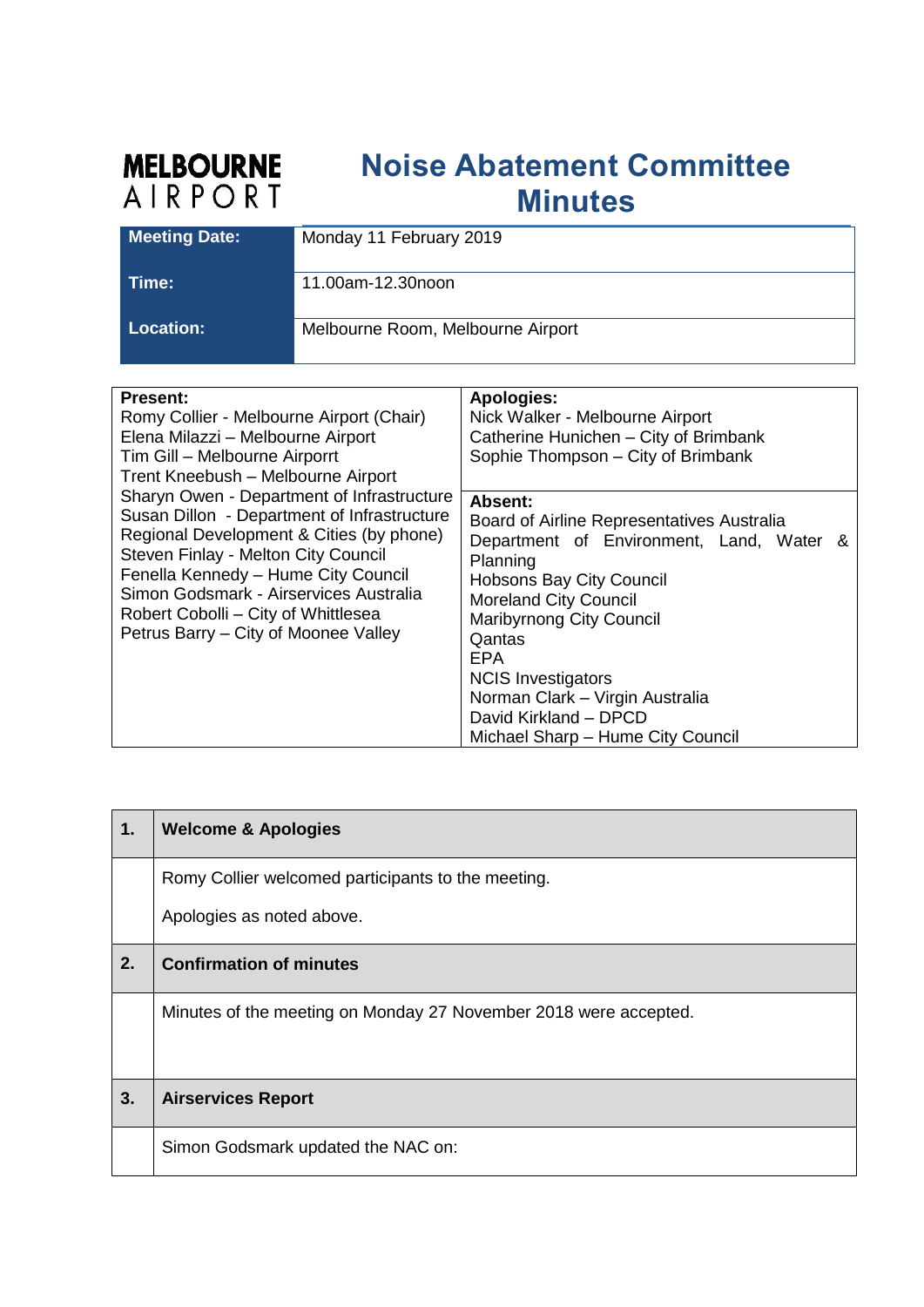## **MELBOURNE**<br>AIRPORT **Noise Abatement Committee Minutes**

| <b>Meeting Date:</b> | Monday 11 February 2019           |
|----------------------|-----------------------------------|
| ⊺ime:                | 11.00am-12.30noon                 |
| Location:            | Melbourne Room, Melbourne Airport |

| <b>Present:</b><br>Romy Collier - Melbourne Airport (Chair)<br>Elena Milazzi - Melbourne Airport<br>Tim Gill - Melbourne Airporrt<br>Trent Kneebush - Melbourne Airport                                                                                                                                                                      | <b>Apologies:</b><br>Nick Walker - Melbourne Airport<br>Catherine Hunichen - City of Brimbank<br>Sophie Thompson - City of Brimbank                                                                                                                                                                                                                                |
|----------------------------------------------------------------------------------------------------------------------------------------------------------------------------------------------------------------------------------------------------------------------------------------------------------------------------------------------|--------------------------------------------------------------------------------------------------------------------------------------------------------------------------------------------------------------------------------------------------------------------------------------------------------------------------------------------------------------------|
| Sharyn Owen - Department of Infrastructure<br>Susan Dillon - Department of Infrastructure<br>Regional Development & Cities (by phone)<br>Steven Finlay - Melton City Council<br>Fenella Kennedy - Hume City Council<br>Simon Godsmark - Airservices Australia<br>Robert Cobolli – City of Whittlesea<br>Petrus Barry - City of Moonee Valley | Absent:<br>Board of Airline Representatives Australia<br>Department of Environment, Land, Water &<br>Planning<br><b>Hobsons Bay City Council</b><br><b>Moreland City Council</b><br><b>Maribyrnong City Council</b><br>Qantas<br>EPA<br><b>NCIS Investigators</b><br>Norman Clark - Virgin Australia<br>David Kirkland - DPCD<br>Michael Sharp - Hume City Council |

| $\mathbf 1$ . | <b>Welcome &amp; Apologies</b>                                   |
|---------------|------------------------------------------------------------------|
|               | Romy Collier welcomed participants to the meeting.               |
|               | Apologies as noted above.                                        |
| 2.            | <b>Confirmation of minutes</b>                                   |
|               | Minutes of the meeting on Monday 27 November 2018 were accepted. |
|               |                                                                  |
| 3.            | <b>Airservices Report</b>                                        |
|               | Simon Godsmark updated the NAC on:                               |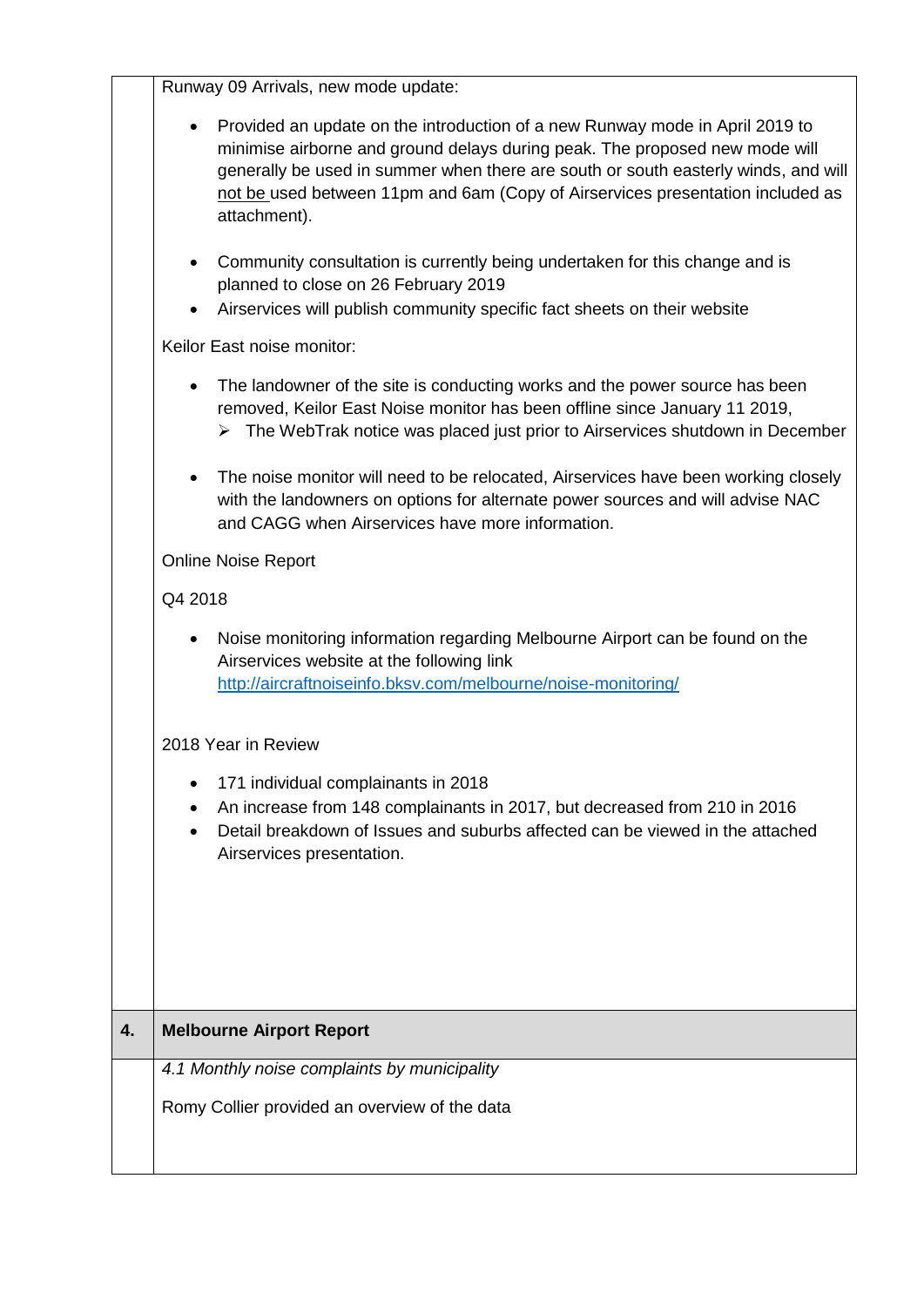Runway 09 Arrivals, new mode update:

|    | Provided an update on the introduction of a new Runway mode in April 2019 to<br>minimise airborne and ground delays during peak. The proposed new mode will<br>generally be used in summer when there are south or south easterly winds, and will<br>not be used between 11pm and 6am (Copy of Airservices presentation included as<br>attachment). |
|----|-----------------------------------------------------------------------------------------------------------------------------------------------------------------------------------------------------------------------------------------------------------------------------------------------------------------------------------------------------|
|    | Community consultation is currently being undertaken for this change and is<br>planned to close on 26 February 2019<br>Airservices will publish community specific fact sheets on their website                                                                                                                                                     |
|    | Keilor East noise monitor:                                                                                                                                                                                                                                                                                                                          |
|    | The landowner of the site is conducting works and the power source has been<br>$\bullet$<br>removed, Keilor East Noise monitor has been offline since January 11 2019,<br>$\triangleright$ The WebTrak notice was placed just prior to Airservices shutdown in December                                                                             |
|    | The noise monitor will need to be relocated, Airservices have been working closely<br>$\bullet$<br>with the landowners on options for alternate power sources and will advise NAC<br>and CAGG when Airservices have more information.                                                                                                               |
|    | <b>Online Noise Report</b>                                                                                                                                                                                                                                                                                                                          |
|    | Q4 2018                                                                                                                                                                                                                                                                                                                                             |
|    | Noise monitoring information regarding Melbourne Airport can be found on the<br>٠<br>Airservices website at the following link<br>http://aircraftnoiseinfo.bksv.com/melbourne/noise-monitoring/                                                                                                                                                     |
|    | 2018 Year in Review                                                                                                                                                                                                                                                                                                                                 |
|    | 171 individual complainants in 2018                                                                                                                                                                                                                                                                                                                 |
|    | An increase from 148 complainants in 2017, but decreased from 210 in 2016<br>Detail breakdown of Issues and suburbs affected can be viewed in the attached<br>Airservices presentation.                                                                                                                                                             |
|    |                                                                                                                                                                                                                                                                                                                                                     |
| 4. | <b>Melbourne Airport Report</b>                                                                                                                                                                                                                                                                                                                     |
|    | 4.1 Monthly noise complaints by municipality                                                                                                                                                                                                                                                                                                        |
|    | Romy Collier provided an overview of the data                                                                                                                                                                                                                                                                                                       |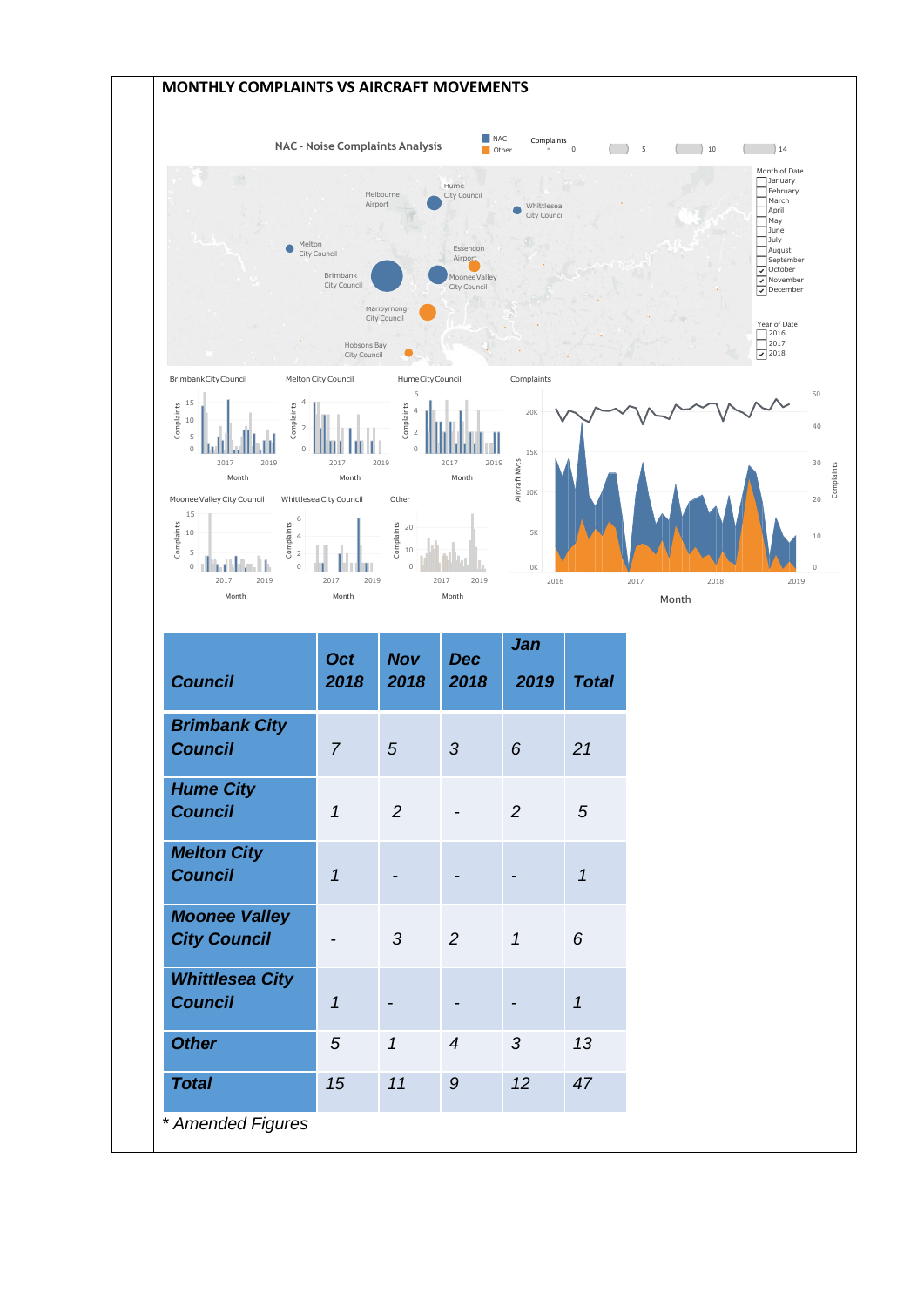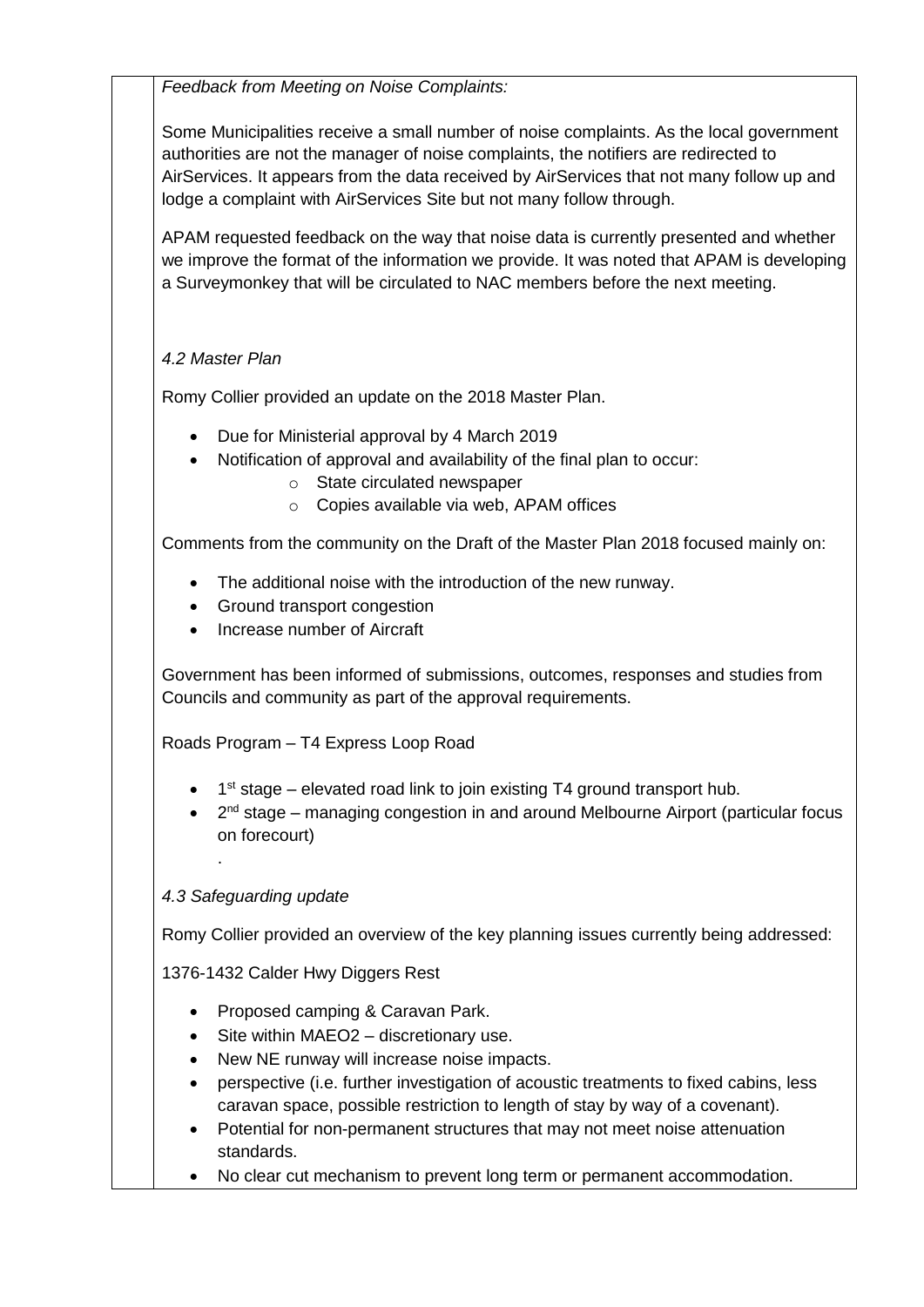*Feedback from Meeting on Noise Complaints:*

Some Municipalities receive a small number of noise complaints. As the local government authorities are not the manager of noise complaints, the notifiers are redirected to AirServices. It appears from the data received by AirServices that not many follow up and lodge a complaint with AirServices Site but not many follow through.

APAM requested feedback on the way that noise data is currently presented and whether we improve the format of the information we provide. It was noted that APAM is developing a Surveymonkey that will be circulated to NAC members before the next meeting.

## *4.2 Master Plan*

Romy Collier provided an update on the 2018 Master Plan.

- Due for Ministerial approval by 4 March 2019
- Notification of approval and availability of the final plan to occur:
	- o State circulated newspaper
		- o Copies available via web, APAM offices

Comments from the community on the Draft of the Master Plan 2018 focused mainly on:

- The additional noise with the introduction of the new runway.
- Ground transport congestion
- Increase number of Aircraft

Government has been informed of submissions, outcomes, responses and studies from Councils and community as part of the approval requirements.

Roads Program – T4 Express Loop Road

- 1<sup>st</sup> stage elevated road link to join existing T4 ground transport hub.
- 2<sup>nd</sup> stage managing congestion in and around Melbourne Airport (particular focus on forecourt)

## *4.3 Safeguarding update*

.

Romy Collier provided an overview of the key planning issues currently being addressed:

1376-1432 Calder Hwy Diggers Rest

- Proposed camping & Caravan Park.
- Site within MAEO2 discretionary use.
- New NE runway will increase noise impacts.
- perspective (i.e. further investigation of acoustic treatments to fixed cabins, less caravan space, possible restriction to length of stay by way of a covenant).
- Potential for non-permanent structures that may not meet noise attenuation standards.
- No clear cut mechanism to prevent long term or permanent accommodation.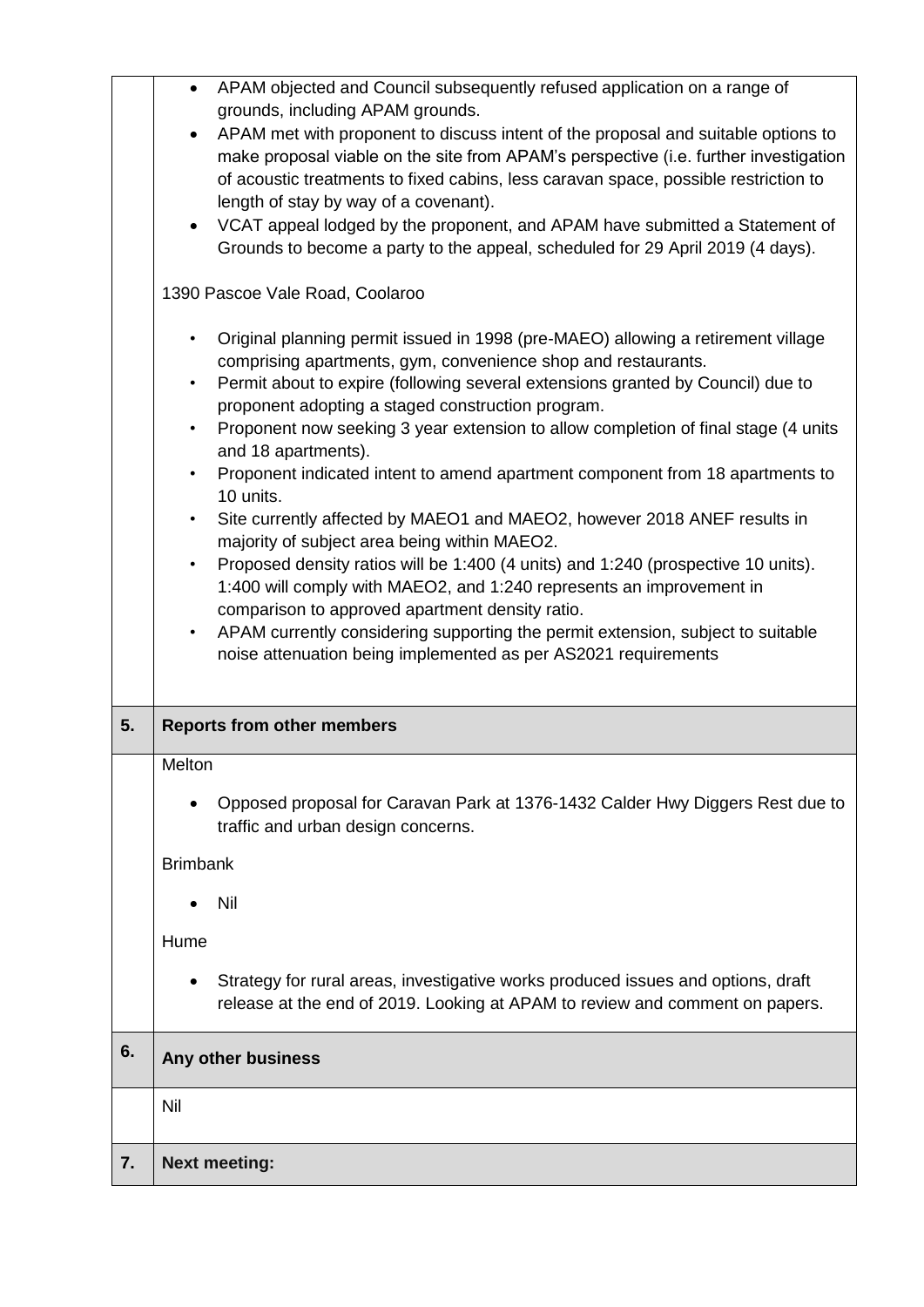| 7. | <b>Next meeting:</b>                                                                                                                                                                                                                                                                                                                                                                                                                                                                                                                                                                                                                                                                                                                                                                                                                                                                                                           |
|----|--------------------------------------------------------------------------------------------------------------------------------------------------------------------------------------------------------------------------------------------------------------------------------------------------------------------------------------------------------------------------------------------------------------------------------------------------------------------------------------------------------------------------------------------------------------------------------------------------------------------------------------------------------------------------------------------------------------------------------------------------------------------------------------------------------------------------------------------------------------------------------------------------------------------------------|
|    | Nil                                                                                                                                                                                                                                                                                                                                                                                                                                                                                                                                                                                                                                                                                                                                                                                                                                                                                                                            |
| 6. | Any other business                                                                                                                                                                                                                                                                                                                                                                                                                                                                                                                                                                                                                                                                                                                                                                                                                                                                                                             |
|    | Strategy for rural areas, investigative works produced issues and options, draft<br>release at the end of 2019. Looking at APAM to review and comment on papers.                                                                                                                                                                                                                                                                                                                                                                                                                                                                                                                                                                                                                                                                                                                                                               |
|    | Hume                                                                                                                                                                                                                                                                                                                                                                                                                                                                                                                                                                                                                                                                                                                                                                                                                                                                                                                           |
|    | Nil                                                                                                                                                                                                                                                                                                                                                                                                                                                                                                                                                                                                                                                                                                                                                                                                                                                                                                                            |
|    | <b>Brimbank</b>                                                                                                                                                                                                                                                                                                                                                                                                                                                                                                                                                                                                                                                                                                                                                                                                                                                                                                                |
|    | Opposed proposal for Caravan Park at 1376-1432 Calder Hwy Diggers Rest due to<br>traffic and urban design concerns.                                                                                                                                                                                                                                                                                                                                                                                                                                                                                                                                                                                                                                                                                                                                                                                                            |
|    | Melton                                                                                                                                                                                                                                                                                                                                                                                                                                                                                                                                                                                                                                                                                                                                                                                                                                                                                                                         |
| 5. | <b>Reports from other members</b>                                                                                                                                                                                                                                                                                                                                                                                                                                                                                                                                                                                                                                                                                                                                                                                                                                                                                              |
|    | Permit about to expire (following several extensions granted by Council) due to<br>$\bullet$<br>proponent adopting a staged construction program.<br>Proponent now seeking 3 year extension to allow completion of final stage (4 units<br>$\bullet$<br>and 18 apartments).<br>Proponent indicated intent to amend apartment component from 18 apartments to<br>$\bullet$<br>10 units.<br>Site currently affected by MAEO1 and MAEO2, however 2018 ANEF results in<br>$\bullet$<br>majority of subject area being within MAEO2.<br>Proposed density ratios will be 1:400 (4 units) and 1:240 (prospective 10 units).<br>$\bullet$<br>1:400 will comply with MAEO2, and 1:240 represents an improvement in<br>comparison to approved apartment density ratio.<br>APAM currently considering supporting the permit extension, subject to suitable<br>$\bullet$<br>noise attenuation being implemented as per AS2021 requirements |
|    | 1390 Pascoe Vale Road, Coolaroo<br>Original planning permit issued in 1998 (pre-MAEO) allowing a retirement village<br>$\bullet$<br>comprising apartments, gym, convenience shop and restaurants.                                                                                                                                                                                                                                                                                                                                                                                                                                                                                                                                                                                                                                                                                                                              |
|    | APAM met with proponent to discuss intent of the proposal and suitable options to<br>$\bullet$<br>make proposal viable on the site from APAM's perspective (i.e. further investigation<br>of acoustic treatments to fixed cabins, less caravan space, possible restriction to<br>length of stay by way of a covenant).<br>VCAT appeal lodged by the proponent, and APAM have submitted a Statement of<br>$\bullet$<br>Grounds to become a party to the appeal, scheduled for 29 April 2019 (4 days).                                                                                                                                                                                                                                                                                                                                                                                                                           |
|    | APAM objected and Council subsequently refused application on a range of<br>$\bullet$<br>grounds, including APAM grounds.                                                                                                                                                                                                                                                                                                                                                                                                                                                                                                                                                                                                                                                                                                                                                                                                      |